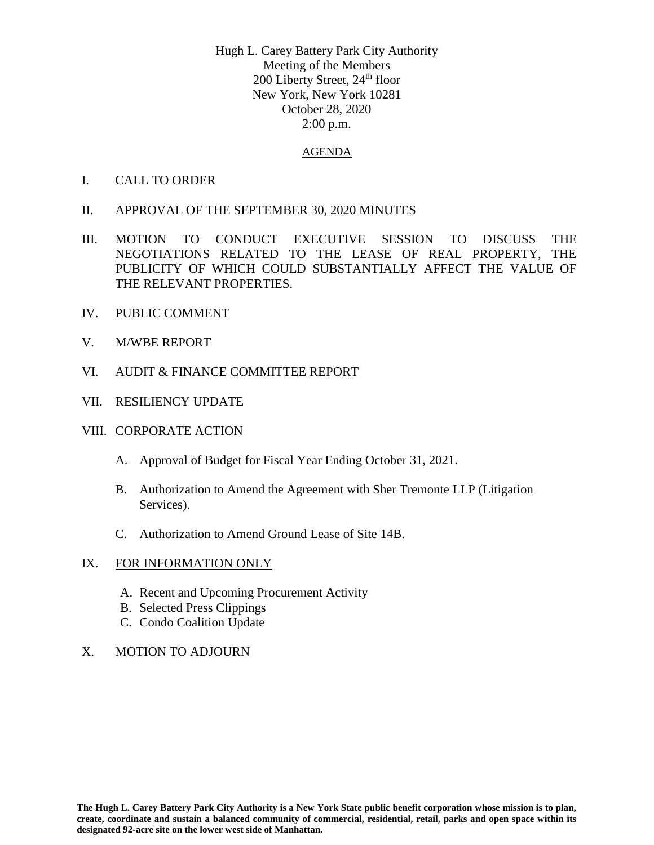Hugh L. Carey Battery Park City Authority Meeting of the Members 200 Liberty Street, 24<sup>th</sup> floor New York, New York 10281 October 28, 2020 2:00 p.m.

### AGENDA

- I. CALL TO ORDER
- II. APPROVAL OF THE SEPTEMBER 30, 2020 MINUTES
- III. MOTION TO CONDUCT EXECUTIVE SESSION TO DISCUSS THE NEGOTIATIONS RELATED TO THE LEASE OF REAL PROPERTY, THE PUBLICITY OF WHICH COULD SUBSTANTIALLY AFFECT THE VALUE OF THE RELEVANT PROPERTIES.
- IV. PUBLIC COMMENT
- V. M/WBE REPORT
- VI. AUDIT & FINANCE COMMITTEE REPORT
- VII. RESILIENCY UPDATE

### VIII. CORPORATE ACTION

- A. Approval of Budget for Fiscal Year Ending October 31, 2021.
- B. Authorization to Amend the Agreement with Sher Tremonte LLP (Litigation Services).
- C. Authorization to Amend Ground Lease of Site 14B.

### IX. FOR INFORMATION ONLY

- A. Recent and Upcoming Procurement Activity
- B. Selected Press Clippings
- C. Condo Coalition Update
- X. MOTION TO ADJOURN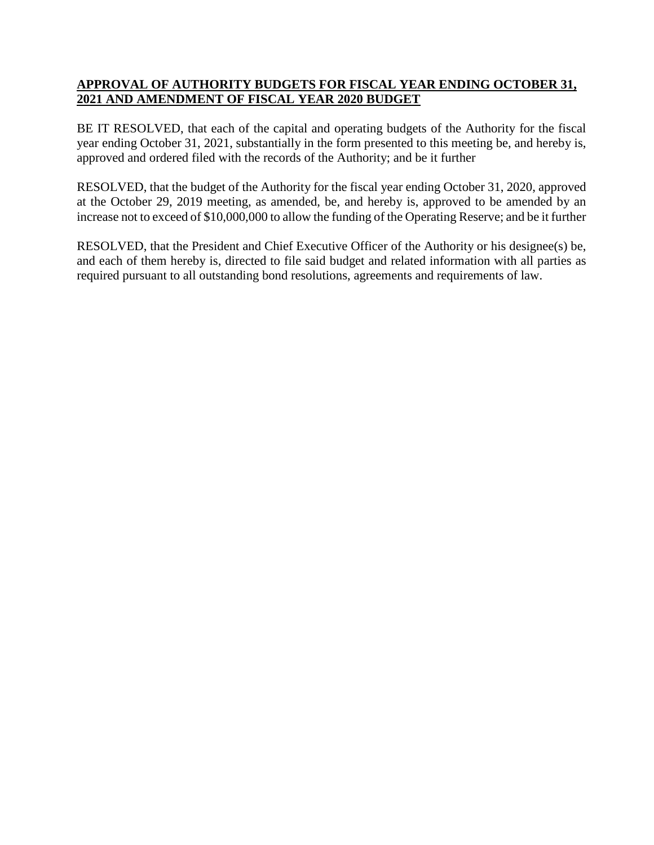## **APPROVAL OF AUTHORITY BUDGETS FOR FISCAL YEAR ENDING OCTOBER 31, 2021 AND AMENDMENT OF FISCAL YEAR 2020 BUDGET**

BE IT RESOLVED, that each of the capital and operating budgets of the Authority for the fiscal year ending October 31, 2021, substantially in the form presented to this meeting be, and hereby is, approved and ordered filed with the records of the Authority; and be it further

RESOLVED, that the budget of the Authority for the fiscal year ending October 31, 2020, approved at the October 29, 2019 meeting, as amended, be, and hereby is, approved to be amended by an increase not to exceed of \$10,000,000 to allow the funding of the Operating Reserve; and be it further

RESOLVED, that the President and Chief Executive Officer of the Authority or his designee(s) be, and each of them hereby is, directed to file said budget and related information with all parties as required pursuant to all outstanding bond resolutions, agreements and requirements of law.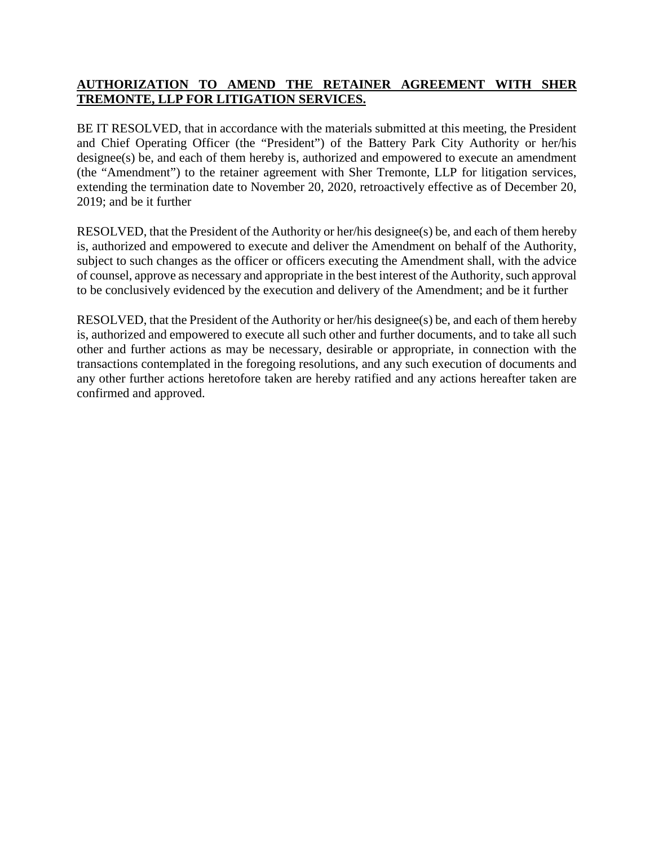## **AUTHORIZATION TO AMEND THE RETAINER AGREEMENT WITH SHER TREMONTE, LLP FOR LITIGATION SERVICES.**

BE IT RESOLVED, that in accordance with the materials submitted at this meeting, the President and Chief Operating Officer (the "President") of the Battery Park City Authority or her/his designee(s) be, and each of them hereby is, authorized and empowered to execute an amendment (the "Amendment") to the retainer agreement with Sher Tremonte, LLP for litigation services, extending the termination date to November 20, 2020, retroactively effective as of December 20, 2019; and be it further

RESOLVED, that the President of the Authority or her/his designee(s) be, and each of them hereby is, authorized and empowered to execute and deliver the Amendment on behalf of the Authority, subject to such changes as the officer or officers executing the Amendment shall, with the advice of counsel, approve as necessary and appropriate in the best interest of the Authority, such approval to be conclusively evidenced by the execution and delivery of the Amendment; and be it further

RESOLVED, that the President of the Authority or her/his designee(s) be, and each of them hereby is, authorized and empowered to execute all such other and further documents, and to take all such other and further actions as may be necessary, desirable or appropriate, in connection with the transactions contemplated in the foregoing resolutions, and any such execution of documents and any other further actions heretofore taken are hereby ratified and any actions hereafter taken are confirmed and approved.